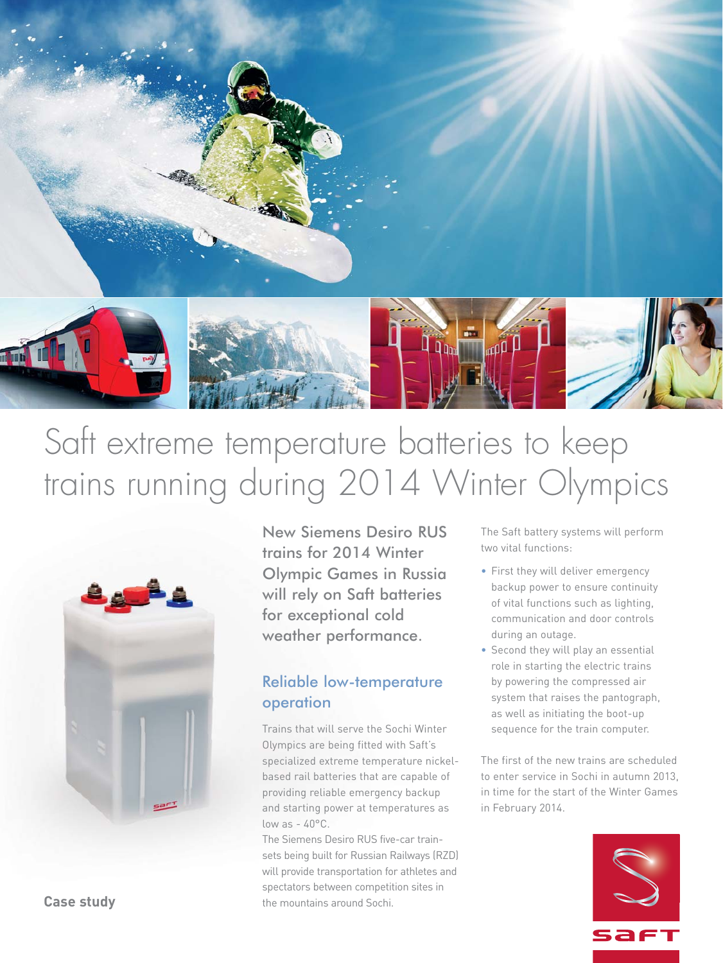

# Saft extreme temperature batteries to keep trains running during 2014 Winter Olympics



New Siemens Desiro RUS trains for 2014 Winter Olympic Games in Russia will rely on Saft batteries for exceptional cold weather performance.

## Reliable low-temperature operation

Trains that will serve the Sochi Winter Olympics are being fitted with Saft's specialized extreme temperature nickelbased rail batteries that are capable of providing reliable emergency backup and starting power at temperatures as low as  $-40^{\circ}$ C.

The Siemens Desiro RUS five-car trainsets being built for Russian Railways (RZD) will provide transportation for athletes and spectators between competition sites in the mountains around Sochi.

The Saft battery systems will perform two vital functions:

- First they will deliver emergency backup power to ensure continuity of vital functions such as lighting, communication and door controls during an outage.
- Second they will play an essential role in starting the electric trains by powering the compressed air system that raises the pantograph, as well as initiating the boot-up sequence for the train computer.

The first of the new trains are scheduled to enter service in Sochi in autumn 2013, in time for the start of the Winter Games in February 2014.



**Case study**